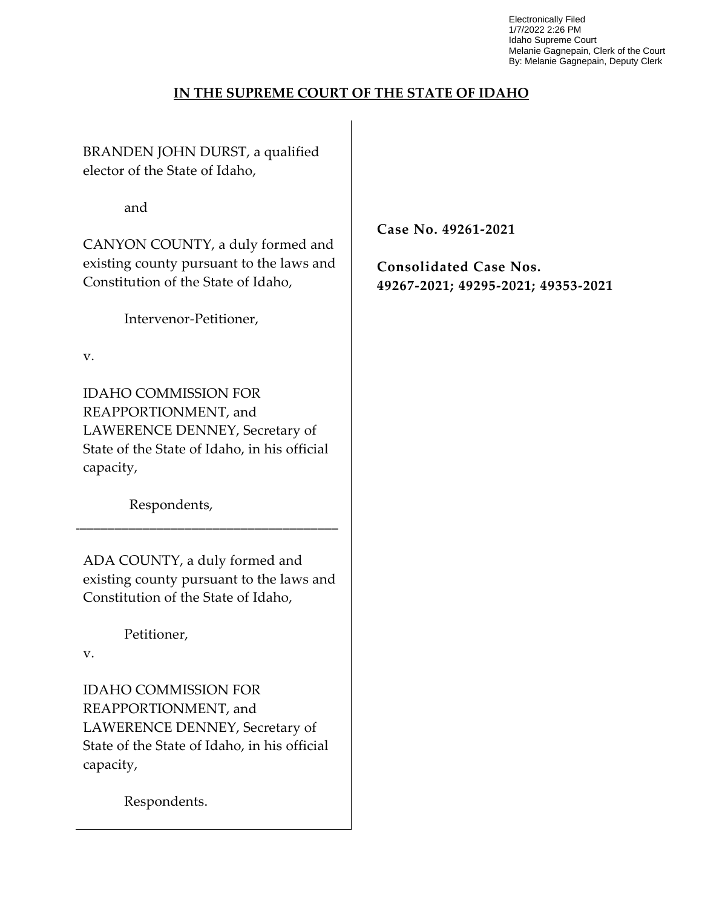Electronically Filed 1/7/2022 2:26 PM Idaho Supreme Court Melanie Gagnepain, Clerk of the Court By: Melanie Gagnepain, Deputy Clerk

### **IN THE SUPREME COURT OF THE STATE OF IDAHO**

BRANDEN JOHN DURST, a qualified elector of the State of Idaho,

and

CANYON COUNTY, a duly formed and existing county pursuant to the laws and Constitution of the State of Idaho,

Intervenor-Petitioner,

v.

IDAHO COMMISSION FOR REAPPORTIONMENT, and LAWERENCE DENNEY, Secretary of State of the State of Idaho, in his official capacity,

Respondents,

ADA COUNTY, a duly formed and existing county pursuant to the laws and Constitution of the State of Idaho,

\_\_\_\_\_\_\_\_\_\_\_\_\_\_\_\_\_\_\_\_\_\_\_\_\_\_\_\_\_\_\_\_\_\_\_\_\_\_

Petitioner,

v.

IDAHO COMMISSION FOR REAPPORTIONMENT, and LAWERENCE DENNEY, Secretary of State of the State of Idaho, in his official capacity,

Respondents.

**Case No. 49261-2021**

**Consolidated Case Nos. 49267-2021; 49295-2021; 49353-2021**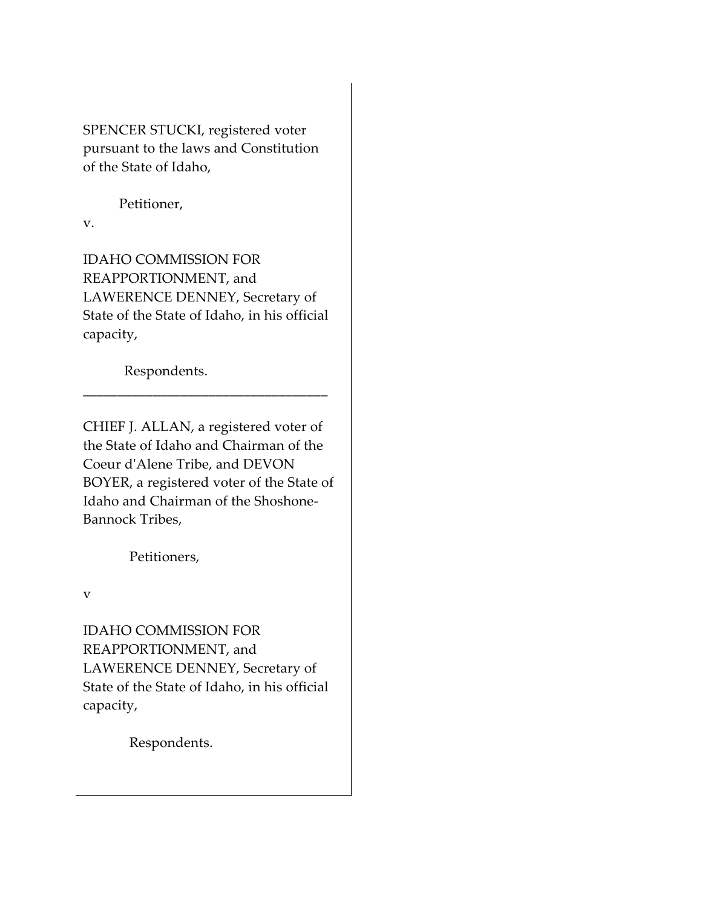SPENCER STUCKI, registered voter pursuant to the laws and Constitution of the State of Idaho,

Petitioner,

v.

IDAHO COMMISSION FOR REAPPORTIONMENT, and LAWERENCE DENNEY, Secretary of State of the State of Idaho, in his official capacity,

\_\_\_\_\_\_\_\_\_\_\_\_\_\_\_\_\_\_\_\_\_\_\_\_\_\_\_\_\_\_\_\_\_\_\_

Respondents.

CHIEF J. ALLAN, a registered voter of the State of Idaho and Chairman of the Coeur d'Alene Tribe, and DEVON BOYER, a registered voter of the State of Idaho and Chairman of the Shoshone-Bannock Tribes,

Petitioners,

v

IDAHO COMMISSION FOR REAPPORTIONMENT, and LAWERENCE DENNEY, Secretary of State of the State of Idaho, in his official capacity,

Respondents.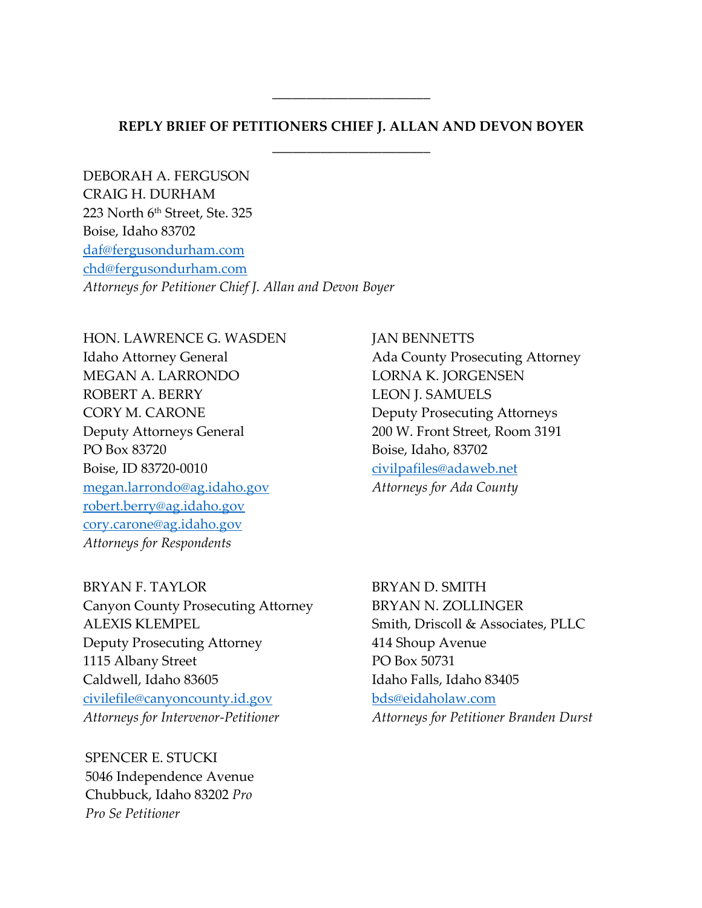## **REPLY BRIEF OF PETITIONERS CHIEF J. ALLAN AND DEVON BOYER** \_\_\_\_\_\_\_\_\_\_\_\_\_\_\_\_\_\_\_\_\_\_\_

\_\_\_\_\_\_\_\_\_\_\_\_\_\_\_\_\_\_\_\_\_\_\_

DEBORAH A. FERGUSON CRAIG H. DURHAM 223 North 6<sup>th</sup> Street, Ste. 325 Boise, Idaho 83702 daf@fergusondurham.com chd@fergusondurham.com *Attorneys for Petitioner Chief J. Allan and Devon Boyer*

HON. LAWRENCE G. WASDEN JAN BENNETTS MEGAN A. LARRONDO LORNA K. JORGENSEN ROBERT A. BERRY LEON J. SAMUELS CORY M. CARONE Deputy Prosecuting Attorneys Deputy Attorneys General 200 W. Front Street, Room 3191 PO Box 83720 Boise, Idaho, 83702 Boise, ID 83720-0010 civilpafiles@adaweb.net megan.larrondo@ag.idaho.gov *Attorneys for Ada County* robert.berry@ag.idaho.gov cory.carone@ag.idaho.gov *Attorneys for Respondents*

Idaho Attorney General **Ada County Prosecuting Attorney** 

BRYAN F. TAYLOR BRYAN D. SMITH Canyon County Prosecuting Attorney BRYAN N. ZOLLINGER ALEXIS KLEMPEL Smith, Driscoll & Associates, PLLC Deputy Prosecuting Attorney 414 Shoup Avenue 1115 Albany Street PO Box 50731 Caldwell, Idaho 83605 Idaho Falls, Idaho 83405 civilefile@canyoncounty.id.gov bds@eidaholaw.com *Attorneys for Intervenor-Petitioner Attorneys for Petitioner Branden Durst*

SPENCER E. STUCKI 5046 Independence Avenue Chubbuck, Idaho 83202 *Pro Pro Se Petitioner*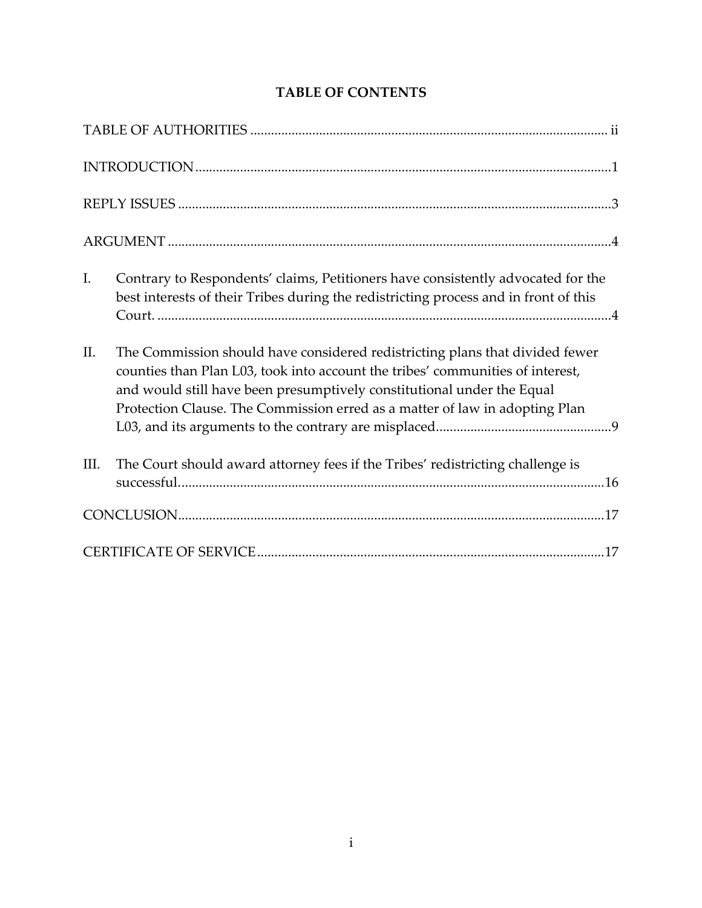| I.<br>Contrary to Respondents' claims, Petitioners have consistently advocated for the<br>best interests of their Tribes during the redistricting process and in front of this                                                                                                                                                 |
|--------------------------------------------------------------------------------------------------------------------------------------------------------------------------------------------------------------------------------------------------------------------------------------------------------------------------------|
| II.<br>The Commission should have considered redistricting plans that divided fewer<br>counties than Plan L03, took into account the tribes' communities of interest,<br>and would still have been presumptively constitutional under the Equal<br>Protection Clause. The Commission erred as a matter of law in adopting Plan |
| The Court should award attorney fees if the Tribes' redistricting challenge is<br>III.                                                                                                                                                                                                                                         |
|                                                                                                                                                                                                                                                                                                                                |
|                                                                                                                                                                                                                                                                                                                                |

# **TABLE OF CONTENTS**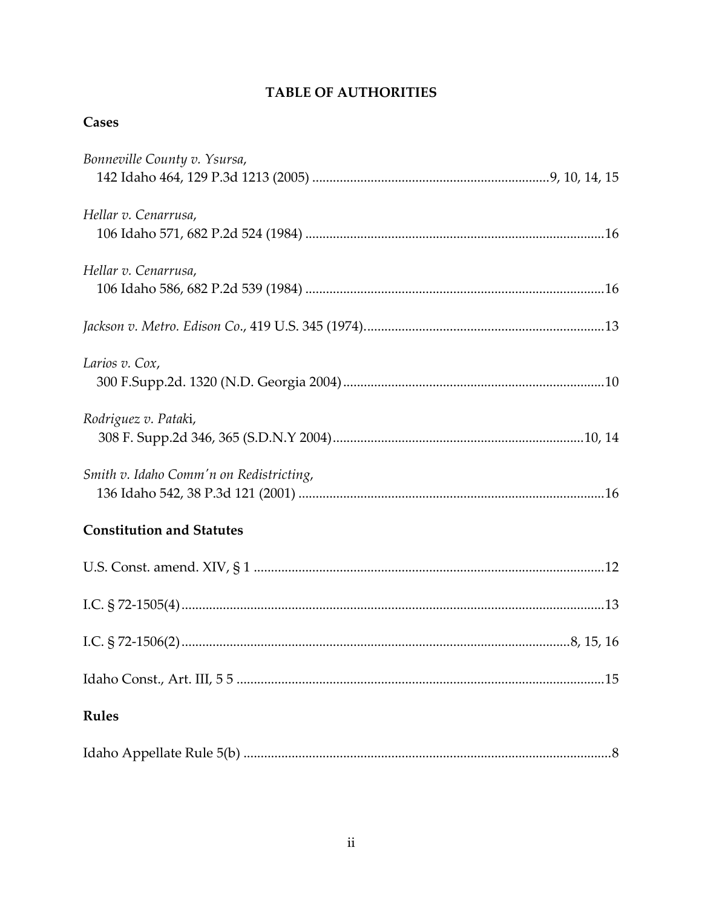# **TABLE OF AUTHORITIES**

## Cases

| Bonneville County v. Ysursa,            |
|-----------------------------------------|
| Hellar v. Cenarrusa,                    |
| Hellar v. Cenarrusa,                    |
|                                         |
| Larios v. Cox,                          |
| Rodriguez v. Pataki,                    |
| Smith v. Idaho Comm'n on Redistricting, |
| <b>Constitution and Statutes</b>        |
|                                         |
|                                         |
|                                         |
|                                         |
| <b>Rules</b>                            |
|                                         |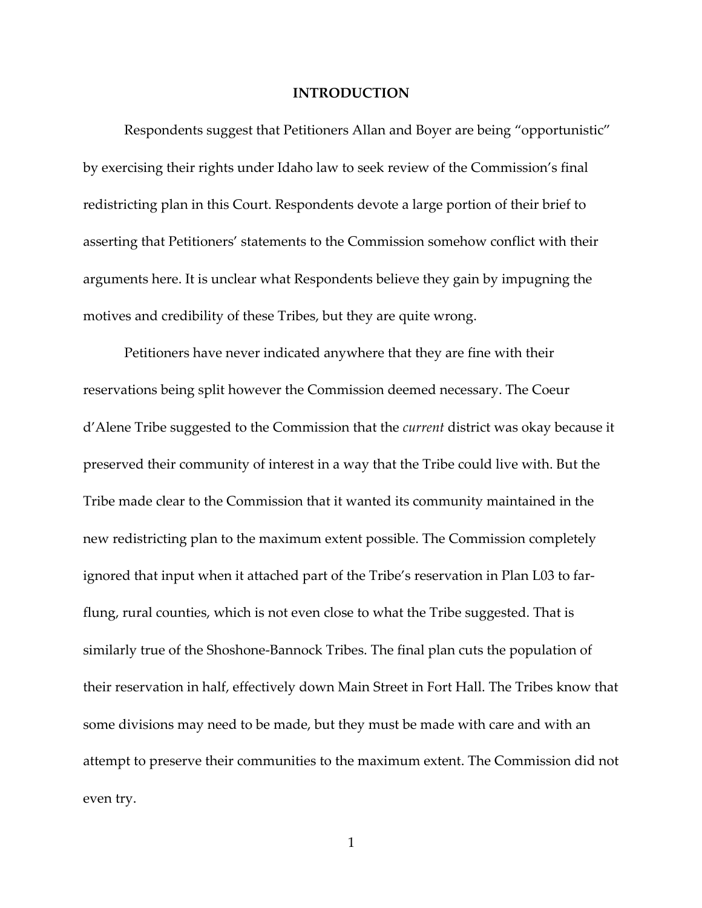#### **INTRODUCTION**

Respondents suggest that Petitioners Allan and Boyer are being "opportunistic" by exercising their rights under Idaho law to seek review of the Commission's final redistricting plan in this Court. Respondents devote a large portion of their brief to asserting that Petitioners' statements to the Commission somehow conflict with their arguments here. It is unclear what Respondents believe they gain by impugning the motives and credibility of these Tribes, but they are quite wrong.

Petitioners have never indicated anywhere that they are fine with their reservations being split however the Commission deemed necessary. The Coeur d'Alene Tribe suggested to the Commission that the *current* district was okay because it preserved their community of interest in a way that the Tribe could live with. But the Tribe made clear to the Commission that it wanted its community maintained in the new redistricting plan to the maximum extent possible. The Commission completely ignored that input when it attached part of the Tribe's reservation in Plan L03 to farflung, rural counties, which is not even close to what the Tribe suggested. That is similarly true of the Shoshone-Bannock Tribes. The final plan cuts the population of their reservation in half, effectively down Main Street in Fort Hall. The Tribes know that some divisions may need to be made, but they must be made with care and with an attempt to preserve their communities to the maximum extent. The Commission did not even try.

1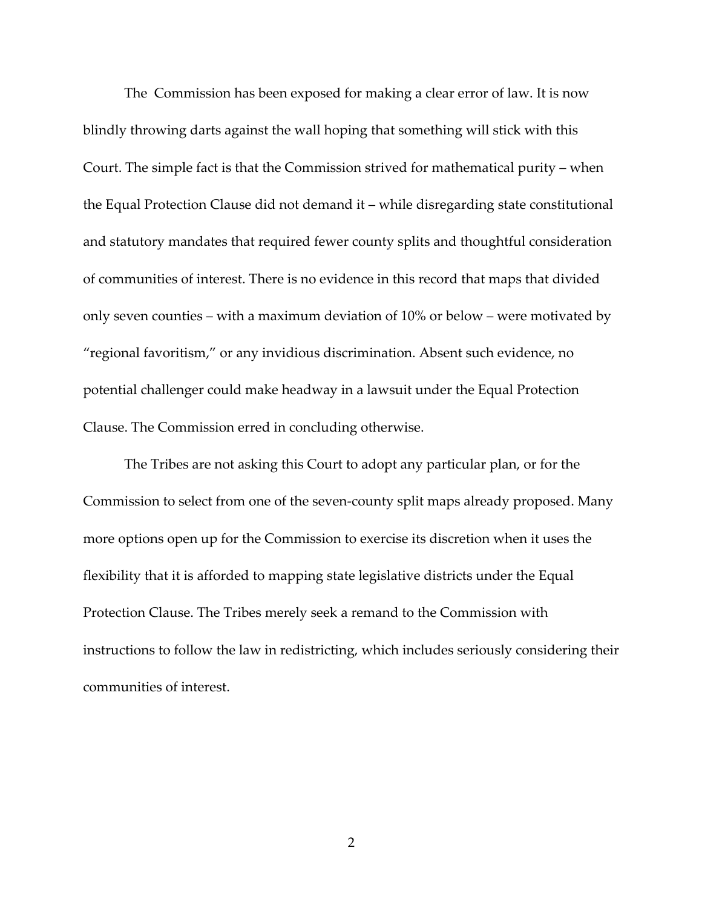The Commission has been exposed for making a clear error of law. It is now blindly throwing darts against the wall hoping that something will stick with this Court. The simple fact is that the Commission strived for mathematical purity – when the Equal Protection Clause did not demand it – while disregarding state constitutional and statutory mandates that required fewer county splits and thoughtful consideration of communities of interest. There is no evidence in this record that maps that divided only seven counties – with a maximum deviation of 10% or below – were motivated by "regional favoritism," or any invidious discrimination. Absent such evidence, no potential challenger could make headway in a lawsuit under the Equal Protection Clause. The Commission erred in concluding otherwise.

The Tribes are not asking this Court to adopt any particular plan, or for the Commission to select from one of the seven-county split maps already proposed. Many more options open up for the Commission to exercise its discretion when it uses the flexibility that it is afforded to mapping state legislative districts under the Equal Protection Clause. The Tribes merely seek a remand to the Commission with instructions to follow the law in redistricting, which includes seriously considering their communities of interest.

2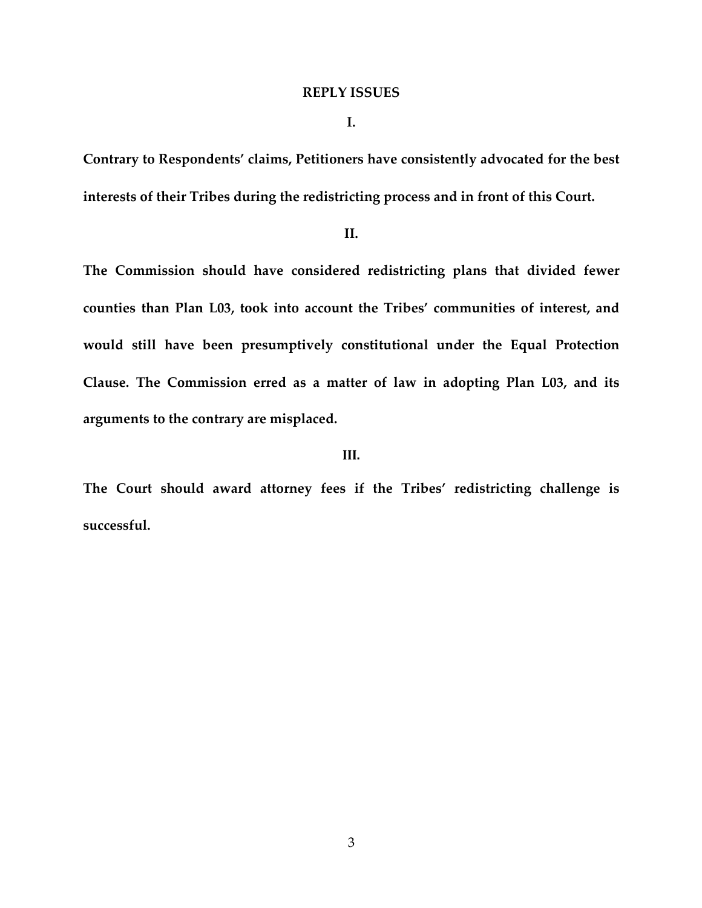#### **REPLY ISSUES**

**I.**

**Contrary to Respondents' claims, Petitioners have consistently advocated for the best interests of their Tribes during the redistricting process and in front of this Court.**

#### **II.**

**The Commission should have considered redistricting plans that divided fewer counties than Plan L03, took into account the Tribes' communities of interest, and would still have been presumptively constitutional under the Equal Protection Clause. The Commission erred as a matter of law in adopting Plan L03, and its arguments to the contrary are misplaced.**

#### **III.**

**The Court should award attorney fees if the Tribes' redistricting challenge is successful.**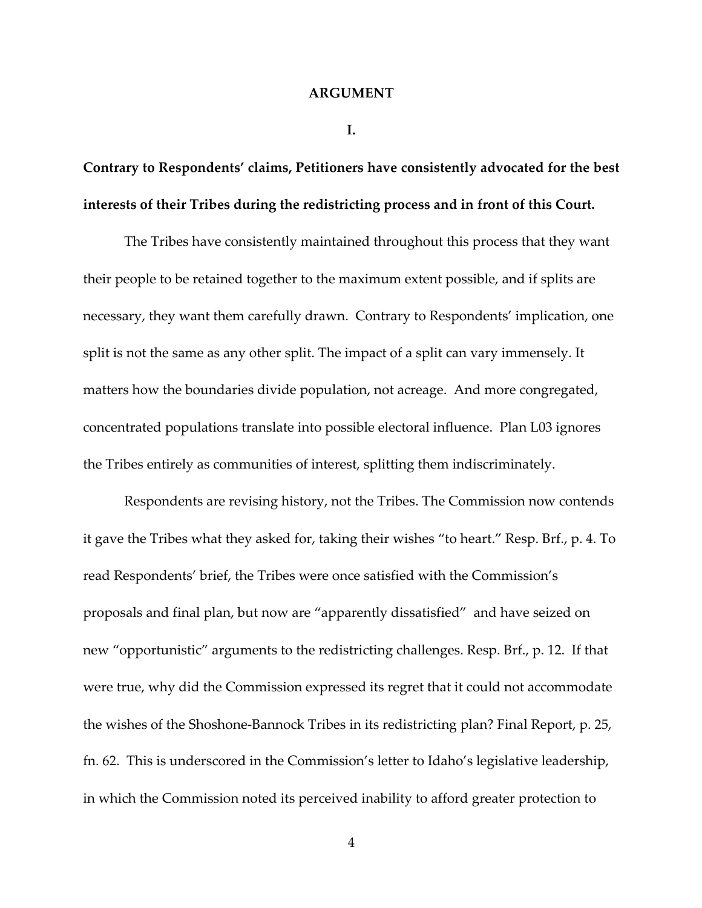#### **ARGUMENT**

**I.**

**Contrary to Respondents' claims, Petitioners have consistently advocated for the best interests of their Tribes during the redistricting process and in front of this Court.**

The Tribes have consistently maintained throughout this process that they want their people to be retained together to the maximum extent possible, and if splits are necessary, they want them carefully drawn. Contrary to Respondents' implication, one split is not the same as any other split. The impact of a split can vary immensely. It matters how the boundaries divide population, not acreage. And more congregated, concentrated populations translate into possible electoral influence. Plan L03 ignores the Tribes entirely as communities of interest, splitting them indiscriminately.

Respondents are revising history, not the Tribes. The Commission now contends it gave the Tribes what they asked for, taking their wishes "to heart." Resp. Brf., p. 4. To read Respondents' brief, the Tribes were once satisfied with the Commission's proposals and final plan, but now are "apparently dissatisfied" and have seized on new "opportunistic" arguments to the redistricting challenges. Resp. Brf., p. 12. If that were true, why did the Commission expressed its regret that it could not accommodate the wishes of the Shoshone-Bannock Tribes in its redistricting plan? Final Report, p. 25, fn. 62. This is underscored in the Commission's letter to Idaho's legislative leadership, in which the Commission noted its perceived inability to afford greater protection to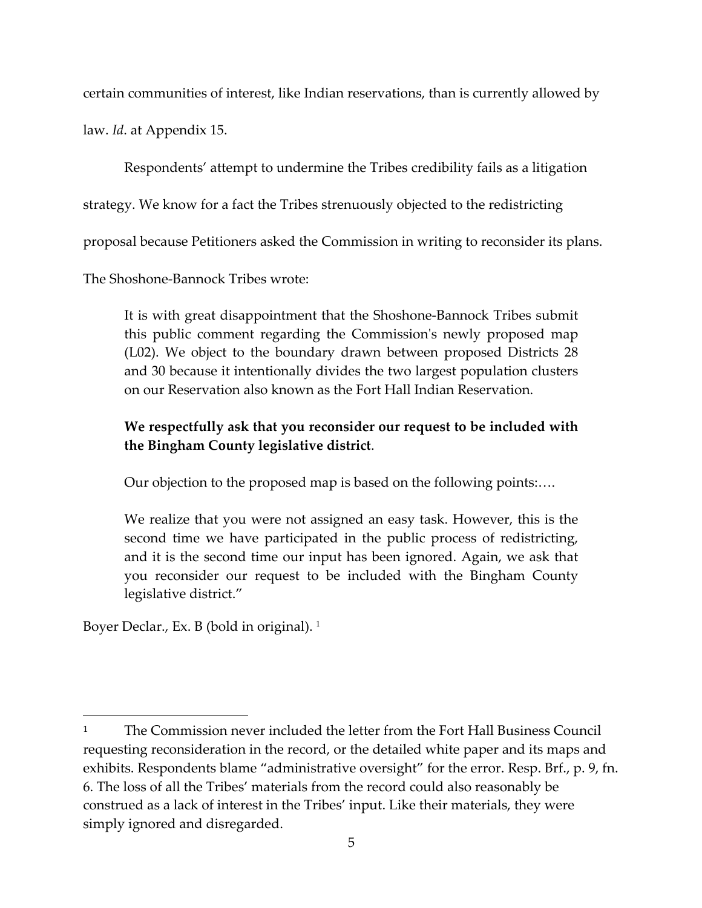certain communities of interest, like Indian reservations, than is currently allowed by

law. *Id*. at Appendix 15.

Respondents' attempt to undermine the Tribes credibility fails as a litigation strategy. We know for a fact the Tribes strenuously objected to the redistricting proposal because Petitioners asked the Commission in writing to reconsider its plans.

The Shoshone-Bannock Tribes wrote:

It is with great disappointment that the Shoshone-Bannock Tribes submit this public comment regarding the Commission's newly proposed map (L02). We object to the boundary drawn between proposed Districts 28 and 30 because it intentionally divides the two largest population clusters on our Reservation also known as the Fort Hall Indian Reservation.

# **We respectfully ask that you reconsider our request to be included with the Bingham County legislative district**.

Our objection to the proposed map is based on the following points:….

We realize that you were not assigned an easy task. However, this is the second time we have participated in the public process of redistricting, and it is the second time our input has been ignored. Again, we ask that you reconsider our request to be included with the Bingham County legislative district."

Boyer Declar., Ex. B (bold in original).<sup>1</sup>

<sup>&</sup>lt;sup>1</sup> The Commission never included the letter from the Fort Hall Business Council requesting reconsideration in the record, or the detailed white paper and its maps and exhibits. Respondents blame "administrative oversight" for the error. Resp. Brf., p. 9, fn. 6. The loss of all the Tribes' materials from the record could also reasonably be construed as a lack of interest in the Tribes' input. Like their materials, they were simply ignored and disregarded.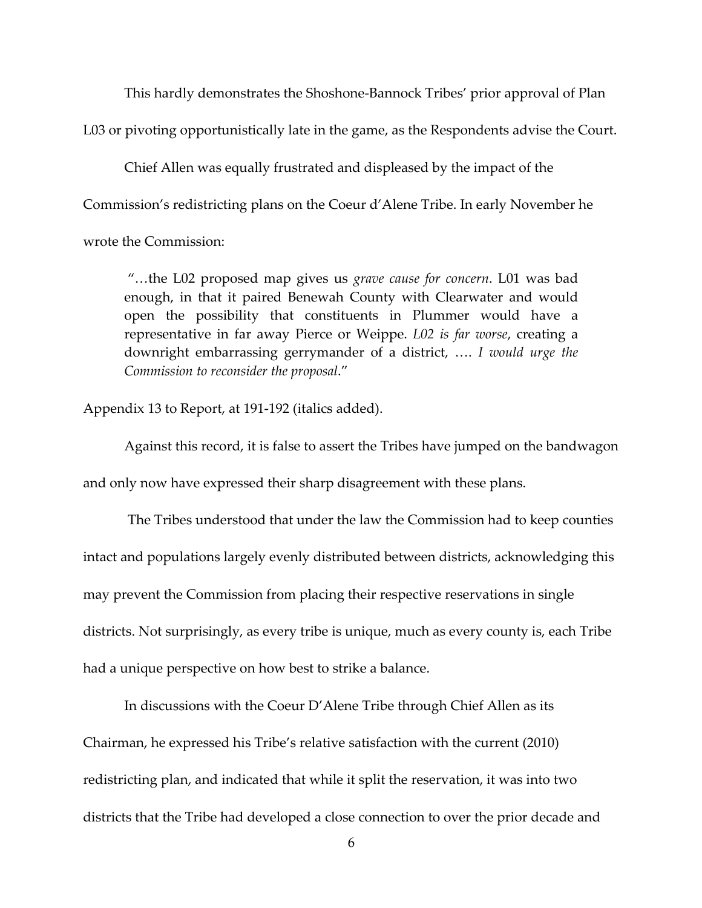This hardly demonstrates the Shoshone-Bannock Tribes' prior approval of Plan

L03 or pivoting opportunistically late in the game, as the Respondents advise the Court.

Chief Allen was equally frustrated and displeased by the impact of the Commission's redistricting plans on the Coeur d'Alene Tribe. In early November he wrote the Commission:

"…the L02 proposed map gives us *grave cause for concern*. L01 was bad enough, in that it paired Benewah County with Clearwater and would open the possibility that constituents in Plummer would have a representative in far away Pierce or Weippe. *L02 is far worse*, creating a downright embarrassing gerrymander of a district, …. *I would urge the Commission to reconsider the proposal*."

Appendix 13 to Report, at 191-192 (italics added).

Against this record, it is false to assert the Tribes have jumped on the bandwagon and only now have expressed their sharp disagreement with these plans.

The Tribes understood that under the law the Commission had to keep counties intact and populations largely evenly distributed between districts, acknowledging this may prevent the Commission from placing their respective reservations in single districts. Not surprisingly, as every tribe is unique, much as every county is, each Tribe had a unique perspective on how best to strike a balance.

In discussions with the Coeur D'Alene Tribe through Chief Allen as its Chairman, he expressed his Tribe's relative satisfaction with the current (2010) redistricting plan, and indicated that while it split the reservation, it was into two districts that the Tribe had developed a close connection to over the prior decade and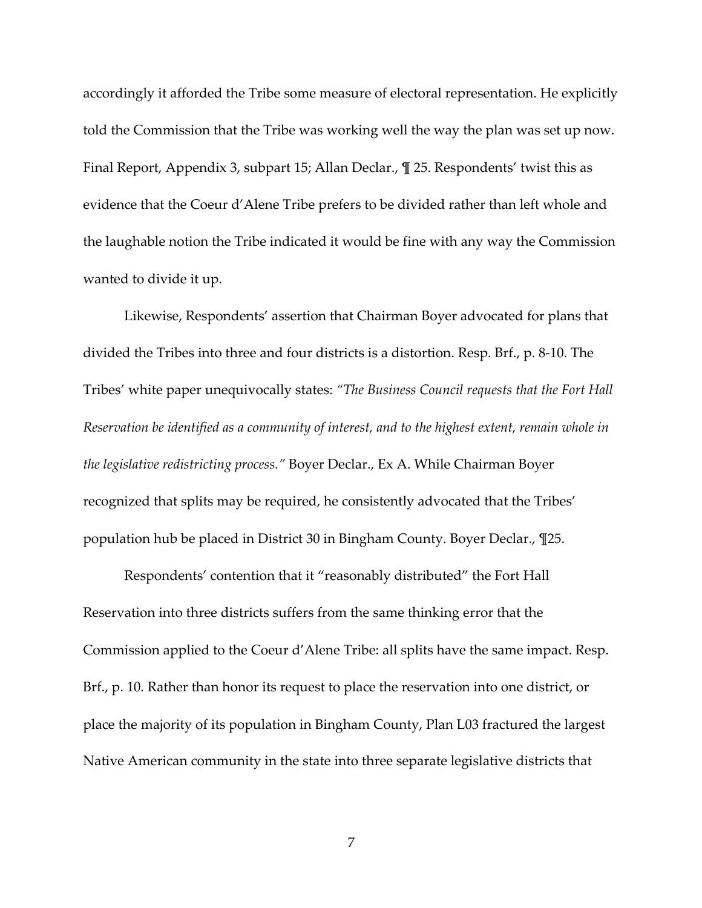accordingly it afforded the Tribe some measure of electoral representation. He explicitly told the Commission that the Tribe was working well the way the plan was set up now. Final Report, Appendix 3, subpart 15; Allan Declar., ¶ 25. Respondents' twist this as evidence that the Coeur d'Alene Tribe prefers to be divided rather than left whole and the laughable notion the Tribe indicated it would be fine with any way the Commission wanted to divide it up.

Likewise, Respondents' assertion that Chairman Boyer advocated for plans that divided the Tribes into three and four districts is a distortion. Resp. Brf., p. 8-10. The Tribes' white paper unequivocally states: *"The Business Council requests that the Fort Hall Reservation be identified as a community of interest, and to the highest extent, remain whole in the legislative redistricting process."* Boyer Declar., Ex A. While Chairman Boyer recognized that splits may be required, he consistently advocated that the Tribes' population hub be placed in District 30 in Bingham County. Boyer Declar., ¶25.

Respondents' contention that it "reasonably distributed" the Fort Hall Reservation into three districts suffers from the same thinking error that the Commission applied to the Coeur d'Alene Tribe: all splits have the same impact. Resp. Brf., p. 10. Rather than honor its request to place the reservation into one district, or place the majority of its population in Bingham County, Plan L03 fractured the largest Native American community in the state into three separate legislative districts that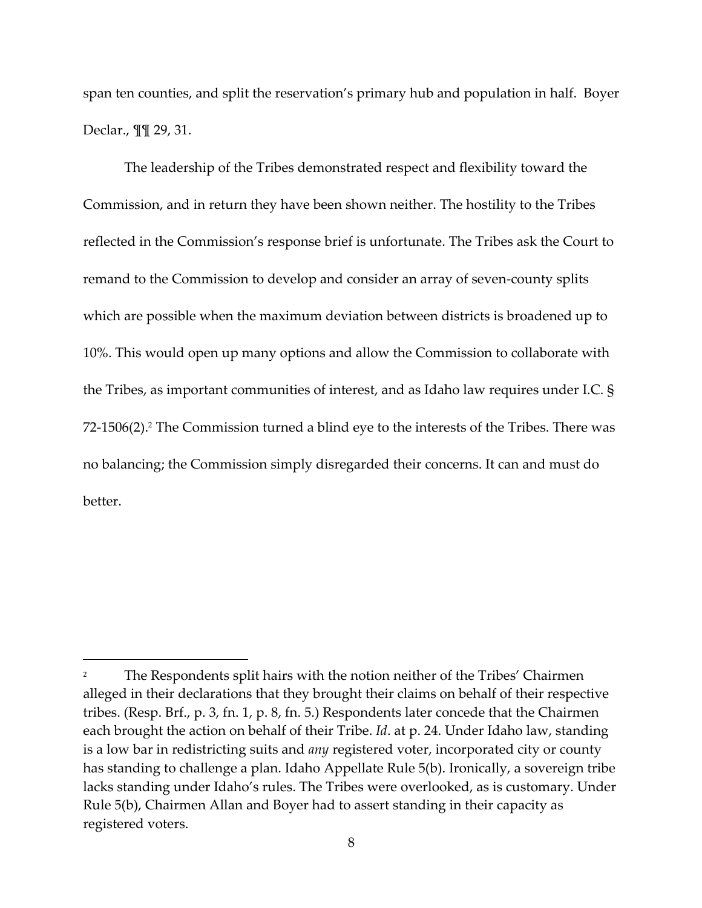span ten counties, and split the reservation's primary hub and population in half. Boyer Declar., ¶¶ 29, 31.

The leadership of the Tribes demonstrated respect and flexibility toward the Commission, and in return they have been shown neither. The hostility to the Tribes reflected in the Commission's response brief is unfortunate. The Tribes ask the Court to remand to the Commission to develop and consider an array of seven-county splits which are possible when the maximum deviation between districts is broadened up to 10%. This would open up many options and allow the Commission to collaborate with the Tribes, as important communities of interest, and as Idaho law requires under I.C. § 72-1506(2). <sup>2</sup> The Commission turned a blind eye to the interests of the Tribes. There was no balancing; the Commission simply disregarded their concerns. It can and must do better.

<sup>2</sup> The Respondents split hairs with the notion neither of the Tribes' Chairmen alleged in their declarations that they brought their claims on behalf of their respective tribes. (Resp. Brf., p. 3, fn. 1, p. 8, fn. 5.) Respondents later concede that the Chairmen each brought the action on behalf of their Tribe. *Id*. at p. 24. Under Idaho law, standing is a low bar in redistricting suits and *any* registered voter, incorporated city or county has standing to challenge a plan. Idaho Appellate Rule 5(b). Ironically, a sovereign tribe lacks standing under Idaho's rules. The Tribes were overlooked, as is customary. Under Rule 5(b), Chairmen Allan and Boyer had to assert standing in their capacity as registered voters.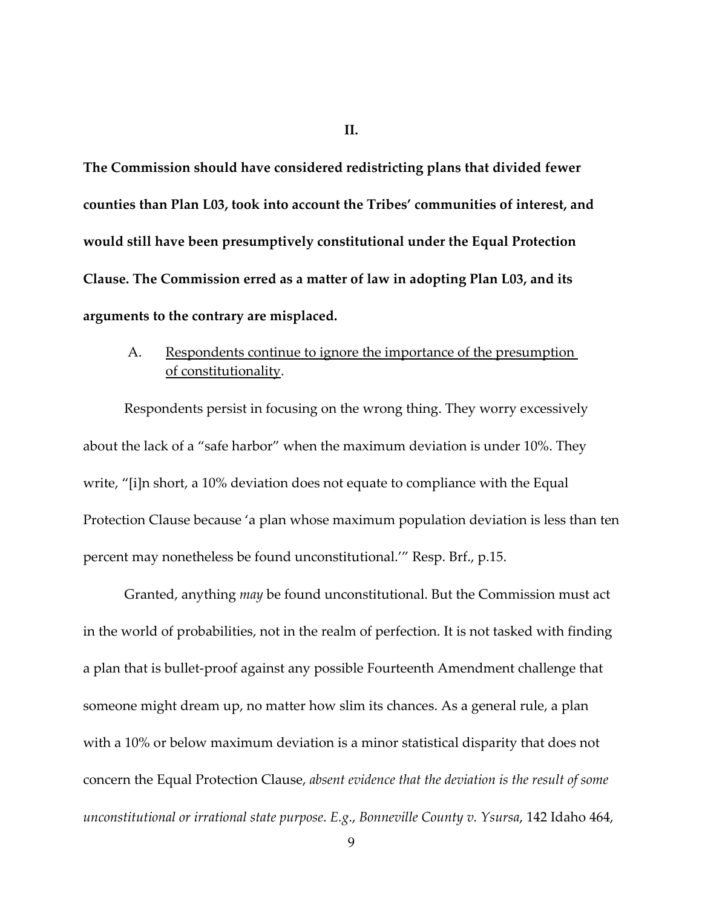**II.**

**The Commission should have considered redistricting plans that divided fewer counties than Plan L03, took into account the Tribes' communities of interest, and would still have been presumptively constitutional under the Equal Protection Clause. The Commission erred as a matter of law in adopting Plan L03, and its arguments to the contrary are misplaced.**

## A. Respondents continue to ignore the importance of the presumption of constitutionality.

Respondents persist in focusing on the wrong thing. They worry excessively about the lack of a "safe harbor" when the maximum deviation is under 10%. They write, "[i]n short, a 10% deviation does not equate to compliance with the Equal Protection Clause because 'a plan whose maximum population deviation is less than ten percent may nonetheless be found unconstitutional.'" Resp. Brf., p.15.

Granted, anything *may* be found unconstitutional. But the Commission must act in the world of probabilities, not in the realm of perfection. It is not tasked with finding a plan that is bullet-proof against any possible Fourteenth Amendment challenge that someone might dream up, no matter how slim its chances. As a general rule, a plan with a 10% or below maximum deviation is a minor statistical disparity that does not concern the Equal Protection Clause, *absent evidence that the deviation is the result of some unconstitutional or irrational state purpose*. *E.g*., *Bonneville County v. Ysursa*, 142 Idaho 464,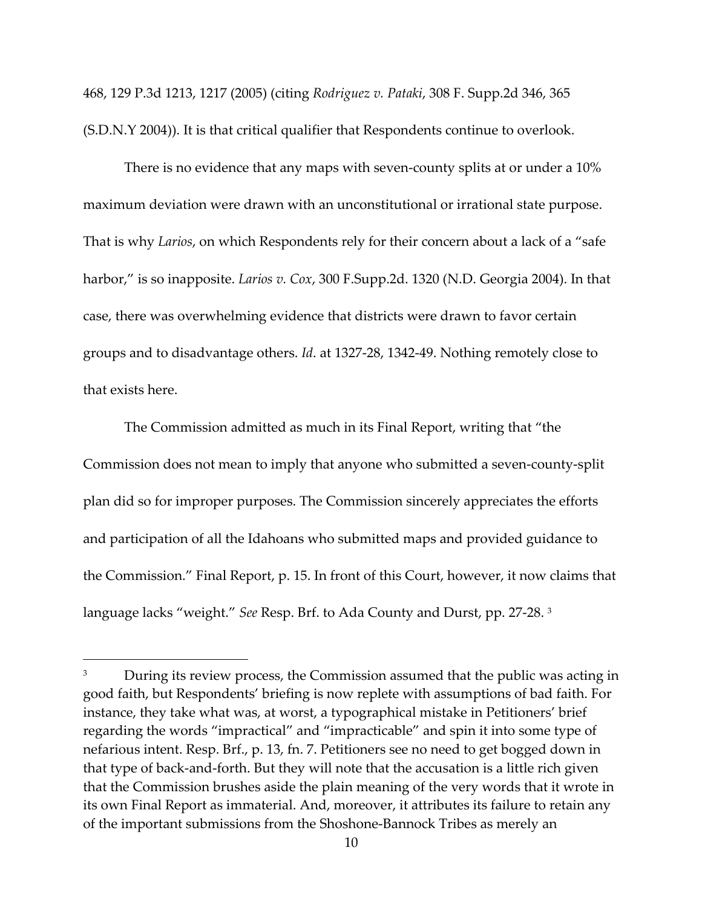468, 129 P.3d 1213, 1217 (2005) (citing *Rodriguez v. Pataki*, 308 F. Supp.2d 346, 365 (S.D.N.Y 2004)). It is that critical qualifier that Respondents continue to overlook.

There is no evidence that any maps with seven-county splits at or under a 10% maximum deviation were drawn with an unconstitutional or irrational state purpose. That is why *Larios*, on which Respondents rely for their concern about a lack of a "safe harbor," is so inapposite. *Larios v. Cox*, 300 F.Supp.2d. 1320 (N.D. Georgia 2004). In that case, there was overwhelming evidence that districts were drawn to favor certain groups and to disadvantage others. *Id*. at 1327-28, 1342-49. Nothing remotely close to that exists here.

The Commission admitted as much in its Final Report, writing that "the Commission does not mean to imply that anyone who submitted a seven-county-split plan did so for improper purposes. The Commission sincerely appreciates the efforts and participation of all the Idahoans who submitted maps and provided guidance to the Commission." Final Report, p. 15. In front of this Court, however, it now claims that language lacks "weight." *See* Resp. Brf. to Ada County and Durst, pp. 27-28. <sup>3</sup>

<sup>&</sup>lt;sup>3</sup> During its review process, the Commission assumed that the public was acting in good faith, but Respondents' briefing is now replete with assumptions of bad faith. For instance, they take what was, at worst, a typographical mistake in Petitioners' brief regarding the words "impractical" and "impracticable" and spin it into some type of nefarious intent. Resp. Brf., p. 13, fn. 7. Petitioners see no need to get bogged down in that type of back-and-forth. But they will note that the accusation is a little rich given that the Commission brushes aside the plain meaning of the very words that it wrote in its own Final Report as immaterial. And, moreover, it attributes its failure to retain any of the important submissions from the Shoshone-Bannock Tribes as merely an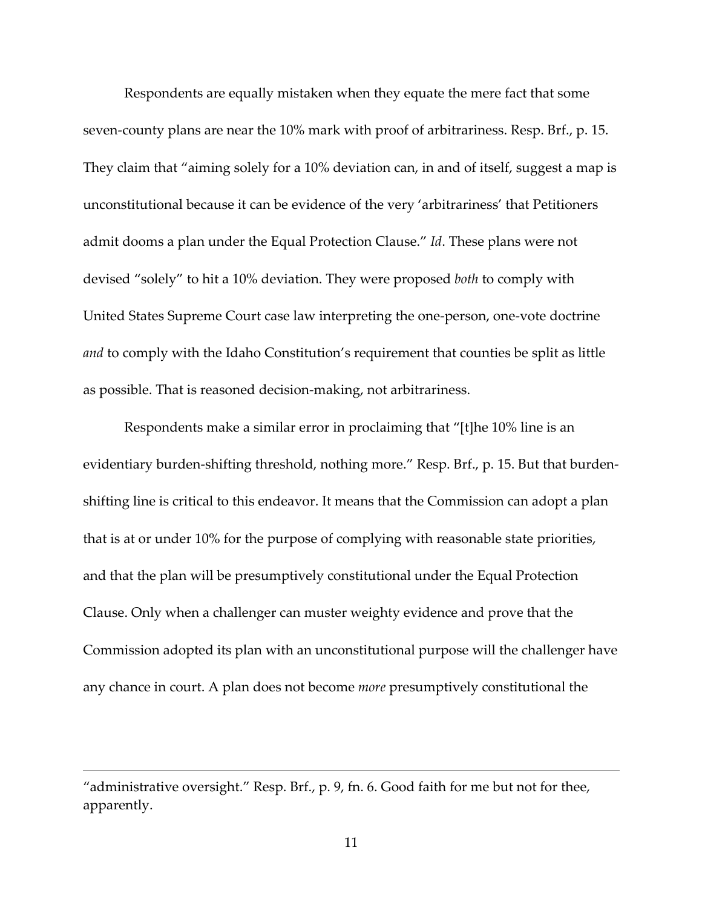Respondents are equally mistaken when they equate the mere fact that some seven-county plans are near the 10% mark with proof of arbitrariness. Resp. Brf., p. 15. They claim that "aiming solely for a 10% deviation can, in and of itself, suggest a map is unconstitutional because it can be evidence of the very 'arbitrariness' that Petitioners admit dooms a plan under the Equal Protection Clause." *Id*. These plans were not devised "solely" to hit a 10% deviation. They were proposed *both* to comply with United States Supreme Court case law interpreting the one-person, one-vote doctrine *and* to comply with the Idaho Constitution's requirement that counties be split as little as possible. That is reasoned decision-making, not arbitrariness.

Respondents make a similar error in proclaiming that "[t]he 10% line is an evidentiary burden-shifting threshold, nothing more." Resp. Brf., p. 15. But that burdenshifting line is critical to this endeavor. It means that the Commission can adopt a plan that is at or under 10% for the purpose of complying with reasonable state priorities, and that the plan will be presumptively constitutional under the Equal Protection Clause. Only when a challenger can muster weighty evidence and prove that the Commission adopted its plan with an unconstitutional purpose will the challenger have any chance in court. A plan does not become *more* presumptively constitutional the

<sup>&</sup>quot;administrative oversight." Resp. Brf., p. 9, fn. 6. Good faith for me but not for thee, apparently.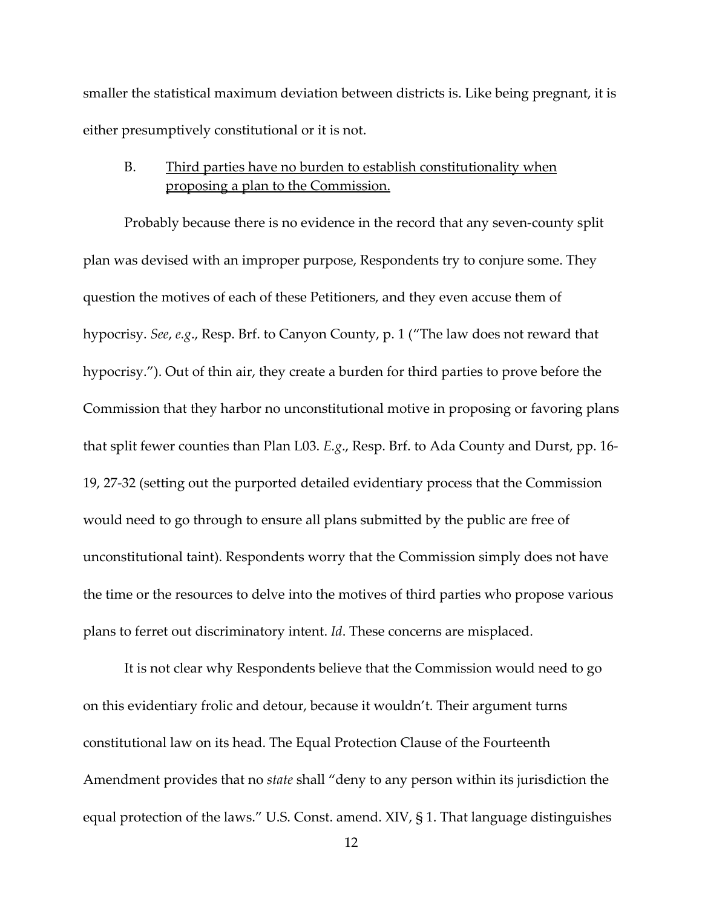smaller the statistical maximum deviation between districts is. Like being pregnant, it is either presumptively constitutional or it is not.

### B. Third parties have no burden to establish constitutionality when proposing a plan to the Commission.

Probably because there is no evidence in the record that any seven-county split plan was devised with an improper purpose, Respondents try to conjure some. They question the motives of each of these Petitioners, and they even accuse them of hypocrisy. *See*, *e.g*., Resp. Brf. to Canyon County, p. 1 ("The law does not reward that hypocrisy."). Out of thin air, they create a burden for third parties to prove before the Commission that they harbor no unconstitutional motive in proposing or favoring plans that split fewer counties than Plan L03. *E.g*., Resp. Brf. to Ada County and Durst, pp. 16- 19, 27-32 (setting out the purported detailed evidentiary process that the Commission would need to go through to ensure all plans submitted by the public are free of unconstitutional taint). Respondents worry that the Commission simply does not have the time or the resources to delve into the motives of third parties who propose various plans to ferret out discriminatory intent. *Id*. These concerns are misplaced.

It is not clear why Respondents believe that the Commission would need to go on this evidentiary frolic and detour, because it wouldn't. Their argument turns constitutional law on its head. The Equal Protection Clause of the Fourteenth Amendment provides that no *state* shall "deny to any person within its jurisdiction the equal protection of the laws." U.S. Const. amend. XIV, § 1. That language distinguishes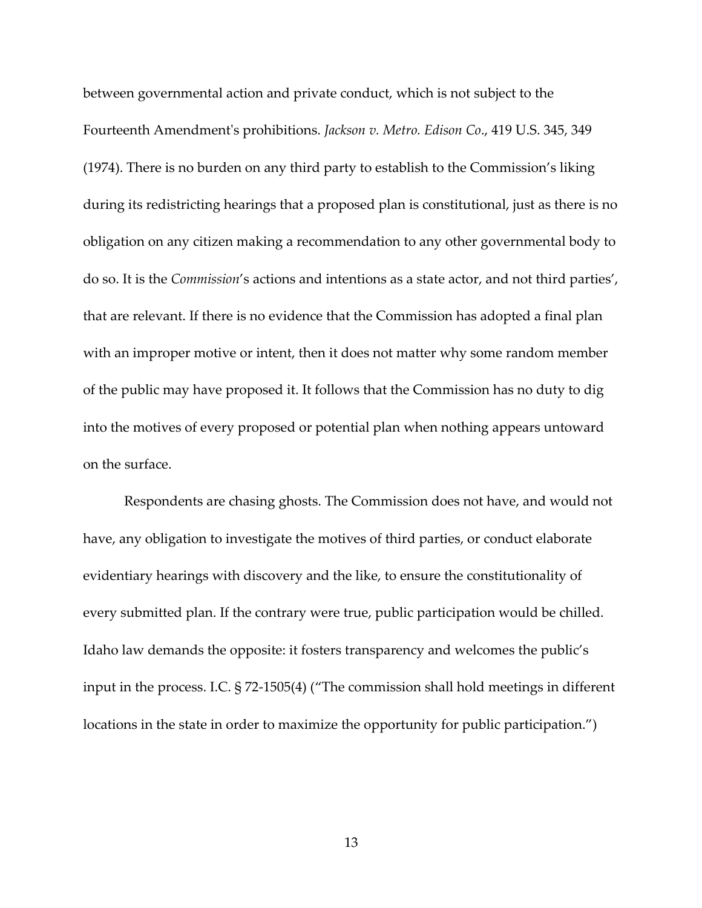between governmental action and private conduct, which is not subject to the Fourteenth Amendment's prohibitions. *Jackson v. Metro. Edison Co*., 419 U.S. 345, 349 (1974). There is no burden on any third party to establish to the Commission's liking during its redistricting hearings that a proposed plan is constitutional, just as there is no obligation on any citizen making a recommendation to any other governmental body to do so. It is the *Commission*'s actions and intentions as a state actor, and not third parties', that are relevant. If there is no evidence that the Commission has adopted a final plan with an improper motive or intent, then it does not matter why some random member of the public may have proposed it. It follows that the Commission has no duty to dig into the motives of every proposed or potential plan when nothing appears untoward on the surface.

Respondents are chasing ghosts. The Commission does not have, and would not have, any obligation to investigate the motives of third parties, or conduct elaborate evidentiary hearings with discovery and the like, to ensure the constitutionality of every submitted plan. If the contrary were true, public participation would be chilled. Idaho law demands the opposite: it fosters transparency and welcomes the public's input in the process. I.C. § 72-1505(4) ("The commission shall hold meetings in different locations in the state in order to maximize the opportunity for public participation.")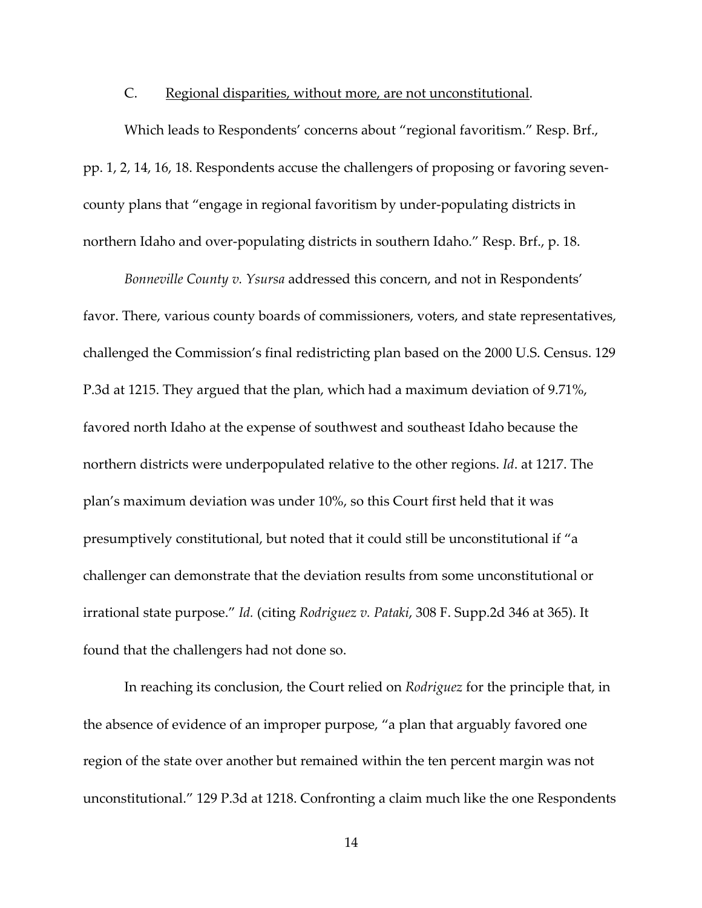#### C. Regional disparities, without more, are not unconstitutional.

Which leads to Respondents' concerns about "regional favoritism." Resp. Brf., pp. 1, 2, 14, 16, 18. Respondents accuse the challengers of proposing or favoring sevencounty plans that "engage in regional favoritism by under-populating districts in northern Idaho and over-populating districts in southern Idaho." Resp. Brf., p. 18.

*Bonneville County v. Ysursa* addressed this concern, and not in Respondents' favor. There, various county boards of commissioners, voters, and state representatives, challenged the Commission's final redistricting plan based on the 2000 U.S. Census. 129 P.3d at 1215. They argued that the plan, which had a maximum deviation of 9.71%, favored north Idaho at the expense of southwest and southeast Idaho because the northern districts were underpopulated relative to the other regions. *Id*. at 1217. The plan's maximum deviation was under 10%, so this Court first held that it was presumptively constitutional, but noted that it could still be unconstitutional if "a challenger can demonstrate that the deviation results from some unconstitutional or irrational state purpose." *Id.* (citing *Rodriguez v. Pataki*, 308 F. Supp.2d 346 at 365). It found that the challengers had not done so.

In reaching its conclusion, the Court relied on *Rodriguez* for the principle that, in the absence of evidence of an improper purpose, "a plan that arguably favored one region of the state over another but remained within the ten percent margin was not unconstitutional." 129 P.3d at 1218. Confronting a claim much like the one Respondents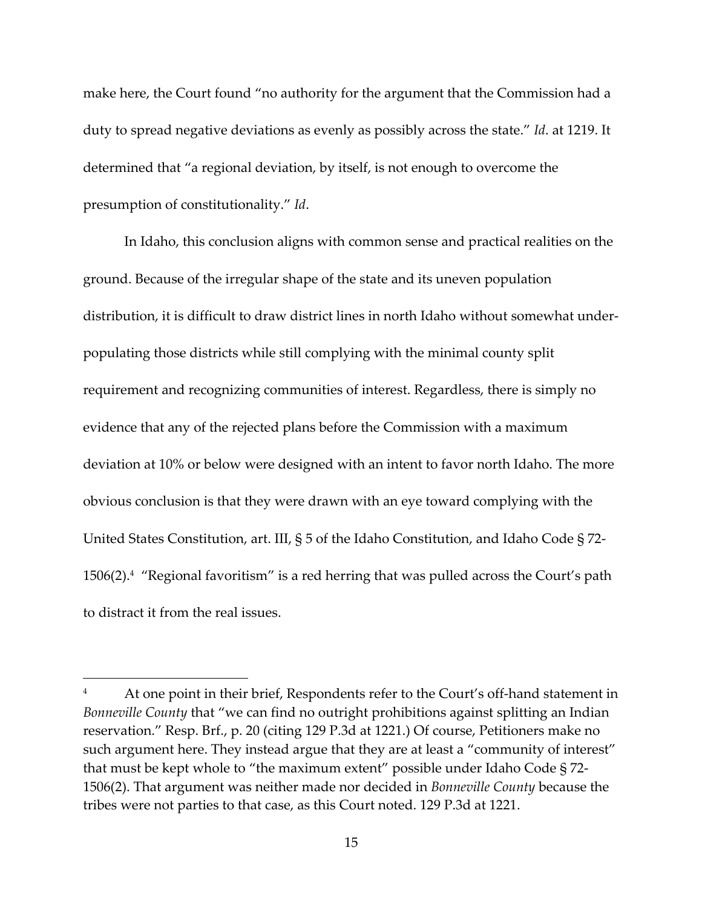make here, the Court found "no authority for the argument that the Commission had a duty to spread negative deviations as evenly as possibly across the state." *Id*. at 1219. It determined that "a regional deviation, by itself, is not enough to overcome the presumption of constitutionality." *Id*.

In Idaho, this conclusion aligns with common sense and practical realities on the ground. Because of the irregular shape of the state and its uneven population distribution, it is difficult to draw district lines in north Idaho without somewhat underpopulating those districts while still complying with the minimal county split requirement and recognizing communities of interest. Regardless, there is simply no evidence that any of the rejected plans before the Commission with a maximum deviation at 10% or below were designed with an intent to favor north Idaho. The more obvious conclusion is that they were drawn with an eye toward complying with the United States Constitution, art. III, § 5 of the Idaho Constitution, and Idaho Code § 72- 1506(2). <sup>4</sup> "Regional favoritism" is a red herring that was pulled across the Court's path to distract it from the real issues.

At one point in their brief, Respondents refer to the Court's off-hand statement in *Bonneville County* that "we can find no outright prohibitions against splitting an Indian reservation." Resp. Brf., p. 20 (citing 129 P.3d at 1221.) Of course, Petitioners make no such argument here. They instead argue that they are at least a "community of interest" that must be kept whole to "the maximum extent" possible under Idaho Code § 72- 1506(2). That argument was neither made nor decided in *Bonneville County* because the tribes were not parties to that case, as this Court noted. 129 P.3d at 1221.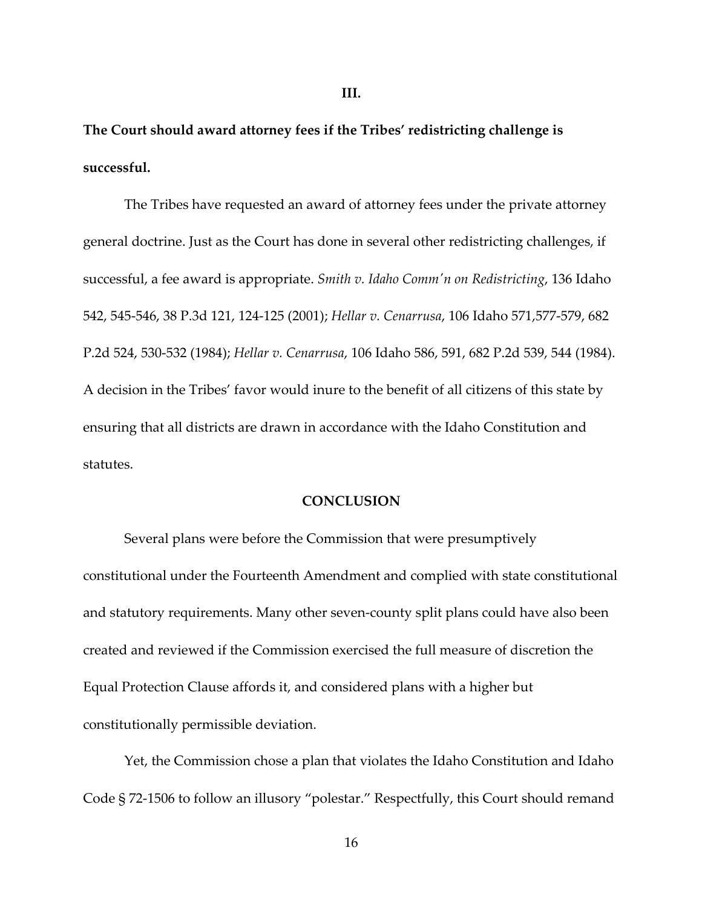**The Court should award attorney fees if the Tribes' redistricting challenge is successful.**

The Tribes have requested an award of attorney fees under the private attorney general doctrine. Just as the Court has done in several other redistricting challenges, if successful, a fee award is appropriate. *Smith v. Idaho Comm'n on Redistricting*, 136 Idaho 542, 545-546, 38 P.3d 121, 124-125 (2001); *Hellar v. Cenarrusa*, 106 Idaho 571,577-579, 682 P.2d 524, 530-532 (1984); *Hellar v. Cenarrusa*, 106 Idaho 586, 591, 682 P.2d 539, 544 (1984). A decision in the Tribes' favor would inure to the benefit of all citizens of this state by ensuring that all districts are drawn in accordance with the Idaho Constitution and statutes.

### **CONCLUSION**

Several plans were before the Commission that were presumptively constitutional under the Fourteenth Amendment and complied with state constitutional and statutory requirements. Many other seven-county split plans could have also been created and reviewed if the Commission exercised the full measure of discretion the Equal Protection Clause affords it, and considered plans with a higher but constitutionally permissible deviation.

Yet, the Commission chose a plan that violates the Idaho Constitution and Idaho Code § 72-1506 to follow an illusory "polestar." Respectfully, this Court should remand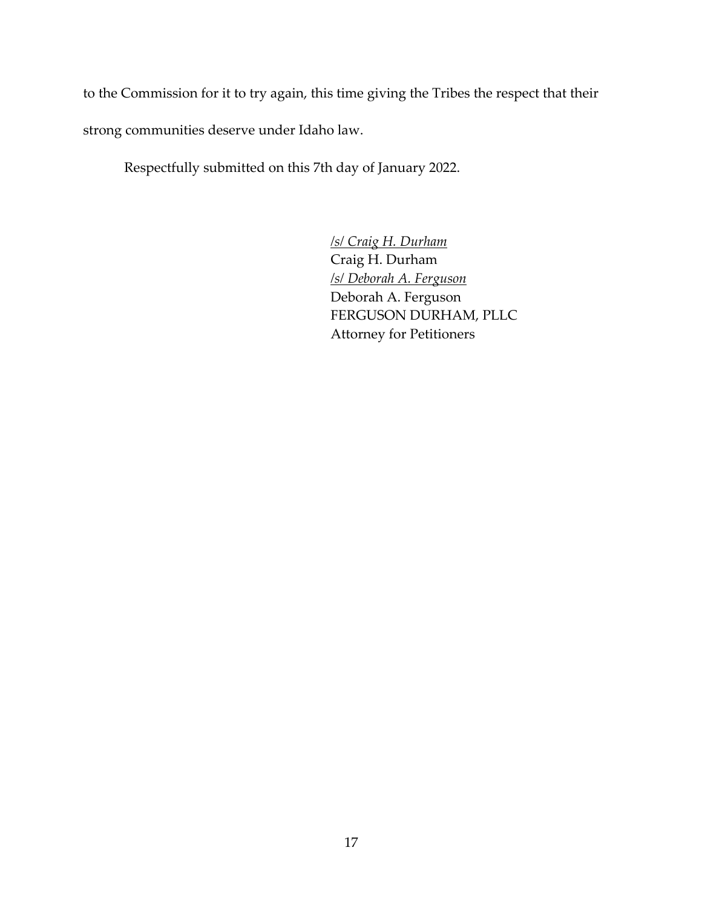to the Commission for it to try again, this time giving the Tribes the respect that their strong communities deserve under Idaho law.

Respectfully submitted on this 7th day of January 2022.

*/s/ Craig H. Durham* Craig H. Durham */s/ Deborah A. Ferguson* Deborah A. Ferguson FERGUSON DURHAM, PLLC Attorney for Petitioners